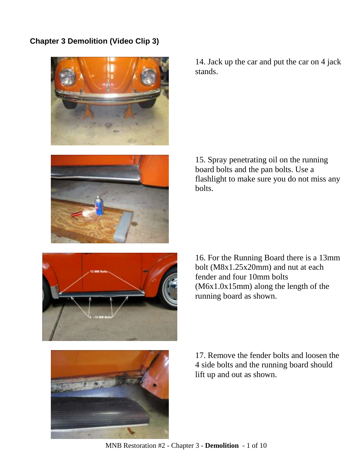## **Chapter 3 Demolition (Video Clip 3)**





14. Jack up the car and put the car on 4 jack stands.

15. Spray penetrating oil on the running board bolts and the pan bolts. Use a flashlight to make sure you do not miss any bolts.



16. For the Running Board there is a 13mm bolt (M8x1.25x20mm) and nut at each fender and four 10mm bolts (M6x1.0x15mm) along the length of the running board as shown.



17. Remove the fender bolts and loosen the 4 side bolts and the running board should lift up and out as shown.

MNB Restoration #2 - Chapter 3 - **Demolition** - 1 of 10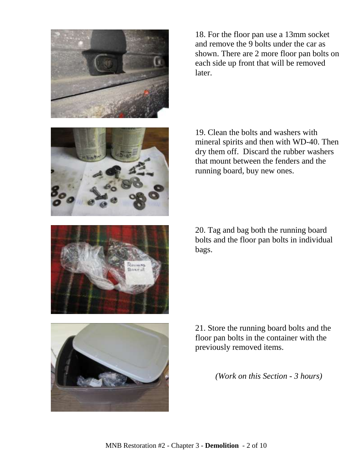

18. For the floor pan use a 13mm socket and remove the 9 bolts under the car as shown. There are 2 more floor pan bolts on each side up front that will be removed later.



19. Clean the bolts and washers with mineral spirits and then with WD-40. Then dry them off. Discard the rubber washers that mount between the fenders and the running board, buy new ones.



20. Tag and bag both the running board bolts and the floor pan bolts in individual bags.



21. Store the running board bolts and the floor pan bolts in the container with the previously removed items.

*(Work on this Section - 3 hours)*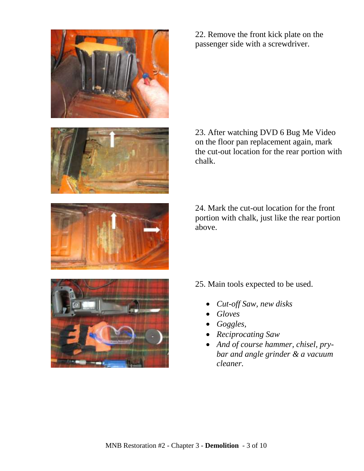

22. Remove the front kick plate on the passenger side with a screwdriver.



23. After watching DVD 6 Bug Me Video on the floor pan replacement again, mark the cut-out location for the rear portion with chalk.

24. Mark the cut-out location for the front portion with chalk, just like the rear portion above.



25. Main tools expected to be used.

- *Cut-off Saw, new disks*
- *Gloves*
- *Goggles,*
- *Reciprocating Saw*
- *And of course hammer, chisel, prybar and angle grinder & a vacuum cleaner.*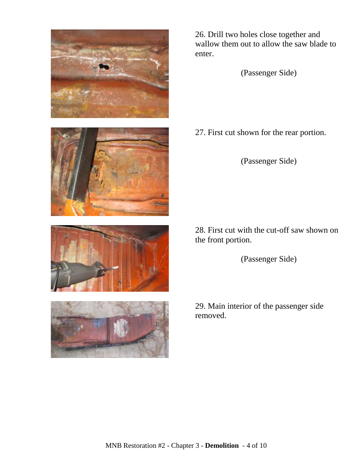





26. Drill two holes close together and wallow them out to allow the saw blade to enter.

(Passenger Side)

27. First cut shown for the rear portion.

(Passenger Side)

28. First cut with the cut-off saw shown on the front portion.

(Passenger Side)

29. Main interior of the passenger side removed.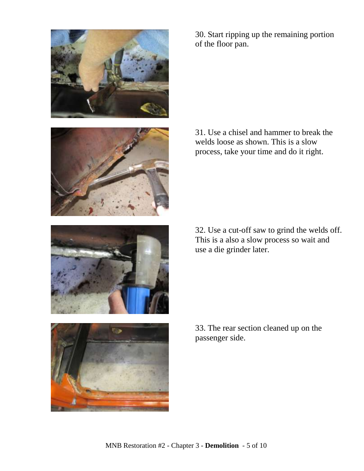

30. Start ripping up the remaining portion of the floor pan.

31. Use a chisel and hammer to break the welds loose as shown. This is a slow process, take your time and do it right.

32. Use a cut-off saw to grind the welds off. This is a also a slow process so wait and use a die grinder later.

33. The rear section cleaned up on the passenger side.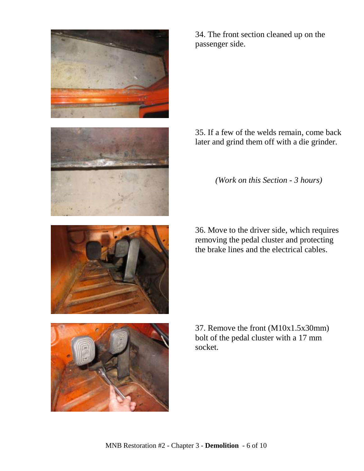

34. The front section cleaned up on the passenger side.

35. If a few of the welds remain, come back later and grind them off with a die grinder.

*(Work on this Section - 3 hours)*

36. Move to the driver side, which requires removing the pedal cluster and protecting the brake lines and the electrical cables.

37. Remove the front (M10x1.5x30mm) bolt of the pedal cluster with a 17 mm socket.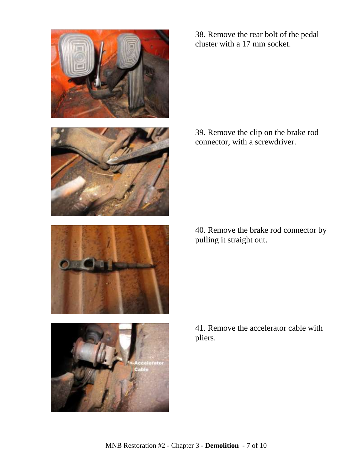

38. Remove the rear bolt of the pedal cluster with a 17 mm socket.

39. Remove the clip on the brake rod connector, with a screwdriver.

40. Remove the brake rod connector by pulling it straight out.

41. Remove the accelerator cable with pliers.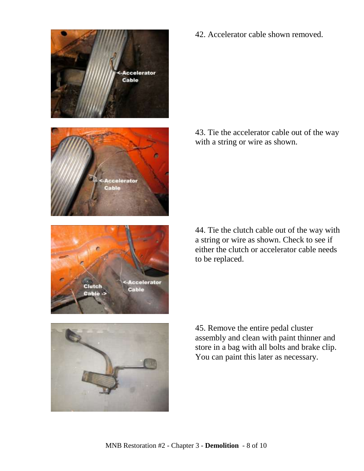

42. Accelerator cable shown removed.

43. Tie the accelerator cable out of the way with a string or wire as shown.

44. Tie the clutch cable out of the way with a string or wire as shown. Check to see if either the clutch or accelerator cable needs to be replaced.



45. Remove the entire pedal cluster assembly and clean with paint thinner and store in a bag with all bolts and brake clip. You can paint this later as necessary.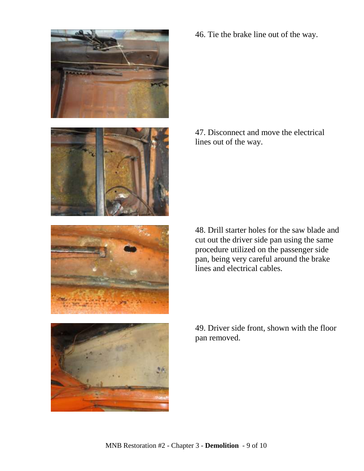

46. Tie the brake line out of the way.

47. Disconnect and move the electrical lines out of the way.

48. Drill starter holes for the saw blade and cut out the driver side pan using the same procedure utilized on the passenger side pan, being very careful around the brake lines and electrical cables.

49. Driver side front, shown with the floor pan removed.